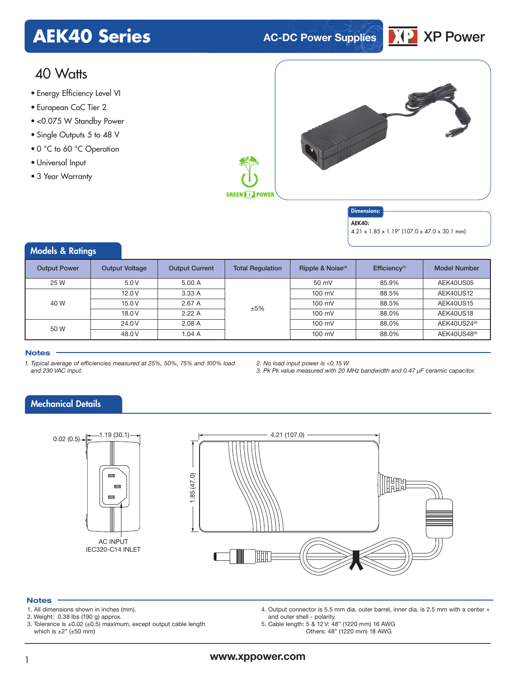### **AEK40 Series AC-DC Power Supplies** XP Power



### 40 Watts

- Energy Efficiency Level VI
- European CoC Tier 2
- <0.075 W Standby Power
- Single Outputs 5 to 48 V
- 0 °C to 60 °C Operation
- Universal Input
- 3 Year Warranty



### Dimensions:

AEK40:

4.21 x 1.85 x 1.19" (107.0 x 47.0 x 30.1 mm)

### Models & Ratings

| <b>Output Power</b> | Output Voltage | <b>Output Current</b> | <b>Total Regulation</b> | Ripple & Noise <sup>(3)</sup> | Efficiency <sup>(1)</sup> | <b>Model Number</b>      |
|---------------------|----------------|-----------------------|-------------------------|-------------------------------|---------------------------|--------------------------|
| 25 W                | 5.0V           | 5.00 A                |                         | 50 mV                         | 85.9%                     | AEK40US05                |
| 40 W                | 12.0V          | 3.33A                 |                         | $100 \text{ mV}$              | 88.5%                     | AEK40US12                |
|                     | 15.0V          | 2.67A                 | ±5%                     | $100 \text{ mV}$              | 88.5%                     | AEK40US15                |
|                     | 18.0V          | 2.22A                 |                         | $100 \text{ mV}$              | 88.0%                     | AEK40US18                |
| 50 W                | 24.0 V         | 2.08A                 |                         | $100 \text{ mV}$              | 88.0%                     | AEK40US24 <sup>(2)</sup> |
|                     | 48.0 V         | 1.04A                 |                         | $100 \text{ mV}$              | 88.0%                     | AEK40US48 <sup>(2)</sup> |

### **Notes**

- *1. Typical average of efficiencies measured at 25%, 50%, 75% and 100% load and 230 VAC input.*
- *2. No load input power is <0.15 W.*

*3. Pk Pk value measured with 20 MHz bandwidth and 0.47 µF ceramic capacitor.*

### Mechanical Details



### **Notes**

- 1. All dimensions shown in inches (mm).
- 2. Weight: 0.38 lbs (190 g) approx.
- 3. Tolerance is ±0.02 (±0.5) maximum, except output cable length which is  $\pm 2$ " ( $\pm 50$  mm)
- 4. Output connector is 5.5 mm dia. outer barrel, inner dia. is 2.5 mm with a center + and outer shell - polarity.
- 5. Cable length: 5 & 12 V: 48" (1220 mm) 16 AWG Others: 48" (1220 mm) 18 AWG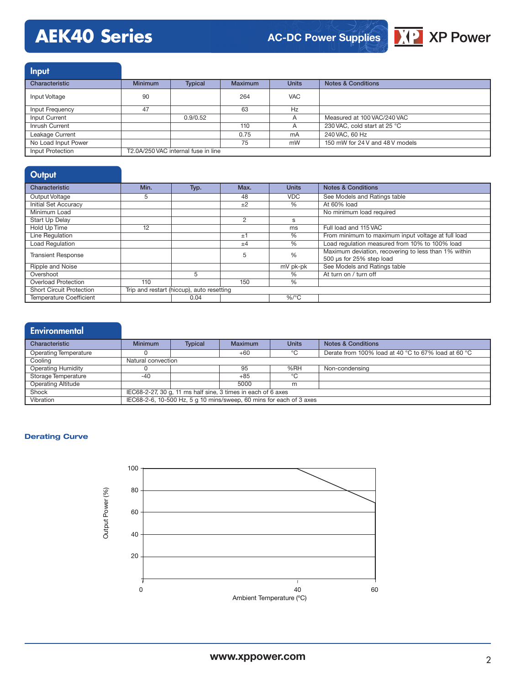## **AEK40 Series**



### Input Characteristic **Minimum** Typical Maximum Units Notes & Conditions Input Voltage 90 264 VAC Input Frequency 47 63 Hz Input Current 100 VAC/240 VAC Inrush Current 110 A 230 VAC, cold start at 25 °C<br>
Leakage Current 110 A 240 VAC, cold start at 25 °C Leakage Current 1997 Current 1.1 Current 1.1 Current 1.1 Current 1.1 Current 1.1 Current 1.1 Current 1.1 Current 1.1 Current 1.1 Current 1.1 Current 1.1 Current 1.1 Current 1.1 Current 1.1 Current 1.1 Current 1.1 Current 1 No Load Input Power<br>
No Load Input Power T2.0A/250 VAC internal fuse in line<br>
Input Protection T2.0A/250 VAC internal fuse in line T2.0A/250 VAC internal fuse in line

| Output                          |                                           |      |                |                 |                                                                                  |
|---------------------------------|-------------------------------------------|------|----------------|-----------------|----------------------------------------------------------------------------------|
| Characteristic                  | Min.                                      | Typ. | Max.           | <b>Units</b>    | <b>Notes &amp; Conditions</b>                                                    |
| Output Voltage                  | 5                                         |      | 48             | <b>VDC</b>      | See Models and Ratings table                                                     |
| <b>Initial Set Accuracy</b>     |                                           |      | $+2$           | $\overline{\%}$ | At 60% load                                                                      |
| Minimum Load                    |                                           |      |                |                 | No minimum load required                                                         |
| <b>Start Up Delay</b>           |                                           |      | $\overline{2}$ | s               |                                                                                  |
| Hold Up Time                    | 12                                        |      |                | ms              | Full load and 115 VAC                                                            |
| Line Regulation                 |                                           |      | ±1             | $\frac{0}{0}$   | From minimum to maximum input voltage at full load                               |
| <b>Load Regulation</b>          |                                           |      | $\pm 4$        | $\overline{\%}$ | Load regulation measured from 10% to 100% load                                   |
| <b>Transient Response</b>       |                                           |      | 5              | $\%$            | Maximum deviation, recovering to less than 1% within<br>500 µs for 25% step load |
| Ripple and Noise                |                                           |      |                | mV pk-pk        | See Models and Ratings table                                                     |
| Overshoot                       |                                           | 5    |                | $\%$            | At turn on / turn off                                                            |
| <b>Overload Protection</b>      | 110                                       |      | 150            | $\%$            |                                                                                  |
| <b>Short Circuit Protection</b> | Trip and restart (hiccup), auto resetting |      |                |                 |                                                                                  |
| <b>Temperature Coefficient</b>  |                                           | 0.04 |                | $%$ /°C         |                                                                                  |

| <b>Environmental</b>      |                                                                     |                |                |              |                                                     |
|---------------------------|---------------------------------------------------------------------|----------------|----------------|--------------|-----------------------------------------------------|
| Characteristic            | <b>Minimum</b>                                                      | <b>Typical</b> | <b>Maximum</b> | <b>Units</b> | <b>Notes &amp; Conditions</b>                       |
| Operating Temperature     |                                                                     |                | $+60$          | °C           | Derate from 100% load at 40 °C to 67% load at 60 °C |
| Cooling                   | Natural convection                                                  |                |                |              |                                                     |
| <b>Operating Humidity</b> |                                                                     |                | 95             | %RH          | Non-condensing                                      |
| Storage Temperature       | $-40$                                                               |                | $+85$          | ℃            |                                                     |
| <b>Operating Altitude</b> |                                                                     |                | 5000           | m            |                                                     |
| Shock                     | IEC68-2-27, 30 g, 11 ms half sine, 3 times in each of 6 axes        |                |                |              |                                                     |
| Vibration                 | IEC68-2-6, 10-500 Hz, 5 g 10 mins/sweep, 60 mins for each of 3 axes |                |                |              |                                                     |

### **Derating Curve**

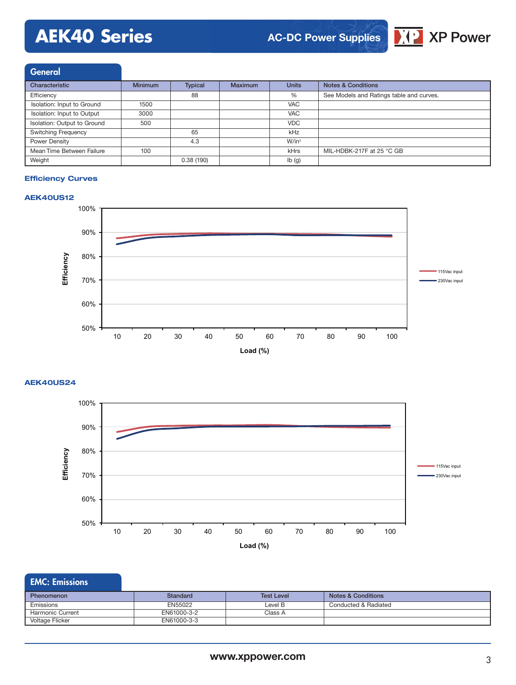# **AEK40 Series**



General

| Characteristic              | <b>Minimum</b> | <b>Typical</b> | <b>Maximum</b> | <b>Units</b>      | <b>Notes &amp; Conditions</b>            |
|-----------------------------|----------------|----------------|----------------|-------------------|------------------------------------------|
| Efficiency                  |                | 88             |                | %                 | See Models and Ratings table and curves. |
| Isolation: Input to Ground  | 1500           |                |                | <b>VAC</b>        |                                          |
| Isolation: Input to Output  | 3000           |                |                | <b>VAC</b>        |                                          |
| Isolation: Output to Ground | 500            |                |                | <b>VDC</b>        |                                          |
| <b>Switching Frequency</b>  |                | 65             |                | kHz               |                                          |
| Power Density               |                | 4.3            |                | $W/in^3$          |                                          |
| Mean Time Between Failure   | 100            |                |                | kHrs              | MIL-HDBK-217F at 25 °C GB                |
| Weight                      |                | 0.38(190)      |                | $I\mathsf{b}$ (g) |                                          |

#### **Efficiency Curves**

### **AEK40US12**



### **AEK40US24**



### EMC: Emissions

| <b>Phenomenon</b> | Standard    | <b>Test Level</b> | <b>Notes &amp; Conditions</b> |
|-------------------|-------------|-------------------|-------------------------------|
| Emissions         | EN55022     | Level B           | Conducted & Radiated          |
| Harmonic Current  | EN61000-3-2 | Class A           |                               |
| Voltage Flicker   | EN61000-3-3 |                   |                               |